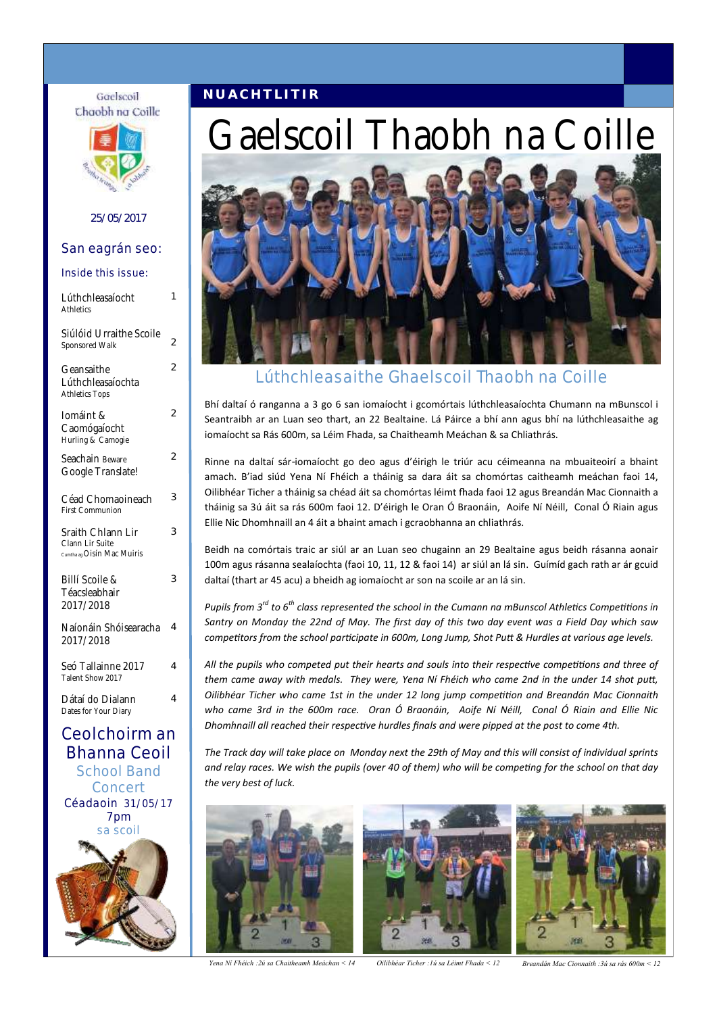### **N U A C H T L I T I R**



Gaelscoil

### 25/05/2017

### San eagrán seo:

| Lúthchleasaíocht<br>Athletics                                                                          | 1              |
|--------------------------------------------------------------------------------------------------------|----------------|
| Siúlóid Urraithe Scoile<br>Sponsored Walk                                                              | 2              |
| Geansaithe<br>Lúthchleasaíochta<br><b>Athletics Tops</b>                                               | $\overline{2}$ |
| Iomáint &<br>Caomógaíocht<br>Hurling & Camogie                                                         | $\overline{2}$ |
| Seachain Beware<br>Google Translate!                                                                   | $\overline{2}$ |
| Céad Chomaoineach<br><b>First Communion</b>                                                            | 3              |
| Sraith Chlann Lir<br>Clann Lir Suite<br>Cumtha ag Oisín Mac Muiris                                     | 3              |
| Billí Scoile &<br>Téacsleabhair<br>2017/2018                                                           | 3              |
| Naíonáin Shóisearacha<br>2017/2018                                                                     | 4              |
| Seó Tallainne 2017<br>Talent Show 2017                                                                 | 4              |
| Dátaí do Dialann<br>Dates for Your Diary                                                               | 4              |
| Ceolchoirm an<br>Bhanna Ceoil<br><b>School Band</b><br>Concert<br>Céadaoin 31/05/17<br>7pm<br>sa scoil |                |



# Gaelscoil Thaobh na Coille

### Lúthchleasaithe Ghaelscoil Thaobh na Coille

Bhí daltaí ó ranganna a 3 go 6 san iomaíocht i gcomórtais lúthchleasaíochta Chumann na mBunscol i Seantraibh ar an Luan seo thart, an 22 Bealtaine. Lá Páirce a bhí ann agus bhí na lúthchleasaithe ag iomaíocht sa Rás 600m, sa Léim Fhada, sa Chaitheamh Meáchan & sa Chliathrás.

Rinne na daltaí sár-iomaíocht go deo agus d'éirigh le triúr acu céimeanna na mbuaiteoirí a bhaint amach. B'iad siúd Yena Ní Fhéich a tháinig sa dara áit sa chomórtas caitheamh meáchan faoi 14, Oilibhéar Ticher a tháinig sa chéad áit sa chomórtas léimt fhada faoi 12 agus Breandán Mac Cionnaith a tháinig sa 3ú áit sa rás 600m faoi 12. D'éirigh le Oran Ó Braonáin, Aoife Ní Néill, Conal Ó Riain agus Ellie Nic Dhomhnaill an 4 áit a bhaint amach i gcraobhanna an chliathrás.

Beidh na comórtais traic ar siúl ar an Luan seo chugainn an 29 Bealtaine agus beidh rásanna aonair 100m agus rásanna sealaíochta (faoi 10, 11, 12 & faoi 14) ar siúl an lá sin. Guímíd gach rath ar ár gcuid daltaí (thart ar 45 acu) a bheidh ag iomaíocht ar son na scoile ar an lá sin.

*Pupils from 3rd to 6th class represented the school in the Cumann na mBunscol Athletics Competitions in Santry on Monday the 22nd of May. The first day of this two day event was a Field Day which saw competitors from the school participate in 600m, Long Jump, Shot Putt & Hurdles at various age levels.* 

*All the pupils who competed put their hearts and souls into their respective competitions and three of them came away with medals. They were, Yena Ní Fhéich who came 2nd in the under 14 shot putt, Oilibhéar Ticher who came 1st in the under 12 long jump competition and Breandán Mac Cionnaith who came 3rd in the 600m race. Oran Ó Braonáin, Aoife Ní Néill, Conal Ó Riain and Ellie Nic Dhomhnaill all reached their respective hurdles finals and were pipped at the post to come 4th.* 

*The Track day will take place on Monday next the 29th of May and this will consist of individual sprints and relay races. We wish the pupils (over 40 of them) who will be competing for the school on that day the very best of luck.* 



*Yena Ní Fhéich :2ú sa Chaitheamh Meáchan < 14 Oilibhéar Ticher :1ú sa Léimt Fhada < 12 Breandán Mac Cionnaith :3ú sa rás 600m < 12*



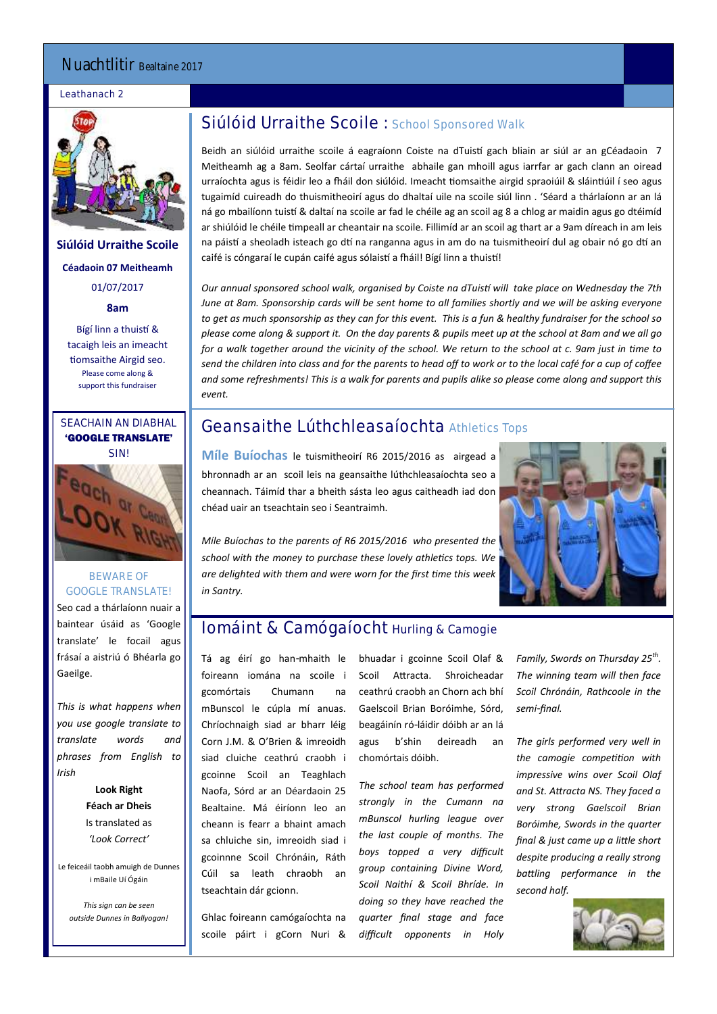### Nuachtlitir Bealtaine 2017

### Leathanach 2



**Siúlóid Urraithe Scoile Céadaoin 07 Meitheamh** 01/07/2017

**8am**

Bígí linn a thuistí & tacaigh leis an imeacht tiomsaithe Airgid seo. Please come along & support this fundraiser

## SEACHAIN AN DIABHAL 'GOOGLE TRANSLATE'



### BEWARE OF GOOGLE TRANSLATE! Seo cad a thárlaíonn nuair a

baintear úsáid as 'Google translate' le focail agus frásaí a aistriú ó Bhéarla go Gaeilge.

*This is what happens when you use google translate to translate words and phrases from English to Irish*

> **Look Right Féach ar Dheis** Is translated as *'Look Correct'*

Le feiceáil taobh amuigh de Dunnes i mBaile Uí Ógáin

*This sign can be seen outside Dunnes in Ballyogan!*

### Siúlóid Urraithe Scoile : School Sponsored Walk

Beidh an siúlóid urraithe scoile á eagraíonn Coiste na dTuistí gach bliain ar siúl ar an gCéadaoin 7 Meitheamh ag a 8am. Seolfar cártaí urraithe abhaile gan mhoill agus iarrfar ar gach clann an oiread urraíochta agus is féidir leo a fháil don siúlóid. Imeacht tiomsaithe airgid spraoiúil & sláintiúil í seo agus tugaimíd cuireadh do thuismitheoirí agus do dhaltaí uile na scoile siúl linn . 'Séard a thárlaíonn ar an lá ná go mbailíonn tuistí & daltaí na scoile ar fad le chéile ag an scoil ag 8 a chlog ar maidin agus go dtéimíd ar shiúlóid le chéile timpeall ar cheantair na scoile. Fillimíd ar an scoil ag thart ar a 9am díreach in am leis na páistí a sheoladh isteach go dtí na ranganna agus in am do na tuismitheoirí dul ag obair nó go dtí an caifé is cóngaraí le cupán caifé agus sólaistí a fháil! Bígí linn a thuistí!

*Our annual sponsored school walk, organised by Coiste na dTuistí will take place on Wednesday the 7th June at 8am. Sponsorship cards will be sent home to all families shortly and we will be asking everyone to get as much sponsorship as they can for this event. This is a fun & healthy fundraiser for the school so please come along & support it. On the day parents & pupils meet up at the school at 8am and we all go for a walk together around the vicinity of the school. We return to the school at c. 9am just in time to send the children into class and for the parents to head off to work or to the local café for a cup of coffee and some refreshments! This is a walk for parents and pupils alike so please come along and support this event.*

## Geansaithe Lúthchleasaíochta Athletics Tops

**Míle Buíochas** le tuismitheoirí R6 2015/2016 as airgead a bhronnadh ar an scoil leis na geansaithe lúthchleasaíochta seo a cheannach. Táimíd thar a bheith sásta leo agus caitheadh iad don chéad uair an tseachtain seo i Seantraimh.

*Míle Buíochas to the parents of R6 2015/2016 who presented the school with the money to purchase these lovely athletics tops. We are delighted with them and were worn for the first time this week in Santry.*



# Iomáint & Camógaíocht Hurling & Camogie

Tá ag éirí go han-mhaith le foireann iomána na scoile i gcomórtais Chumann na mBunscol le cúpla mí anuas. Chríochnaigh siad ar bharr léig Corn J.M. & O'Brien & imreoidh siad cluiche ceathrú craobh i gcoinne Scoil an Teaghlach Naofa, Sórd ar an Déardaoin 25 Bealtaine. Má éiríonn leo an cheann is fearr a bhaint amach sa chluiche sin, imreoidh siad i gcoinnne Scoil Chrónáin, Ráth Cúil sa leath chraobh an tseachtain dár gcionn.

Ghlac foireann camógaíochta na scoile páirt i gCorn Nuri & bhuadar i gcoinne Scoil Olaf & Scoil Attracta. Shroicheadar ceathrú craobh an Chorn ach bhí Gaelscoil Brian Boróimhe, Sórd, beagáinín ró-láidir dóibh ar an lá agus b'shin deireadh an chomórtais dóibh.

*The school team has performed strongly in the Cumann na mBunscol hurling league over the last couple of months. The boys topped a very difficult group containing Divine Word, Scoil Naithí & Scoil Bhríde. In doing so they have reached the quarter final stage and face difficult opponents in Holy* 

*Family, Swords on Thursday 25th . The winning team will then face Scoil Chrónáin, Rathcoole in the semi-final.* 

*The girls performed very well in the camogie competition with impressive wins over Scoil Olaf and St. Attracta NS. They faced a very strong Gaelscoil Brian Boróimhe, Swords in the quarter final & just came up a little short despite producing a really strong battling performance in the second half.* 

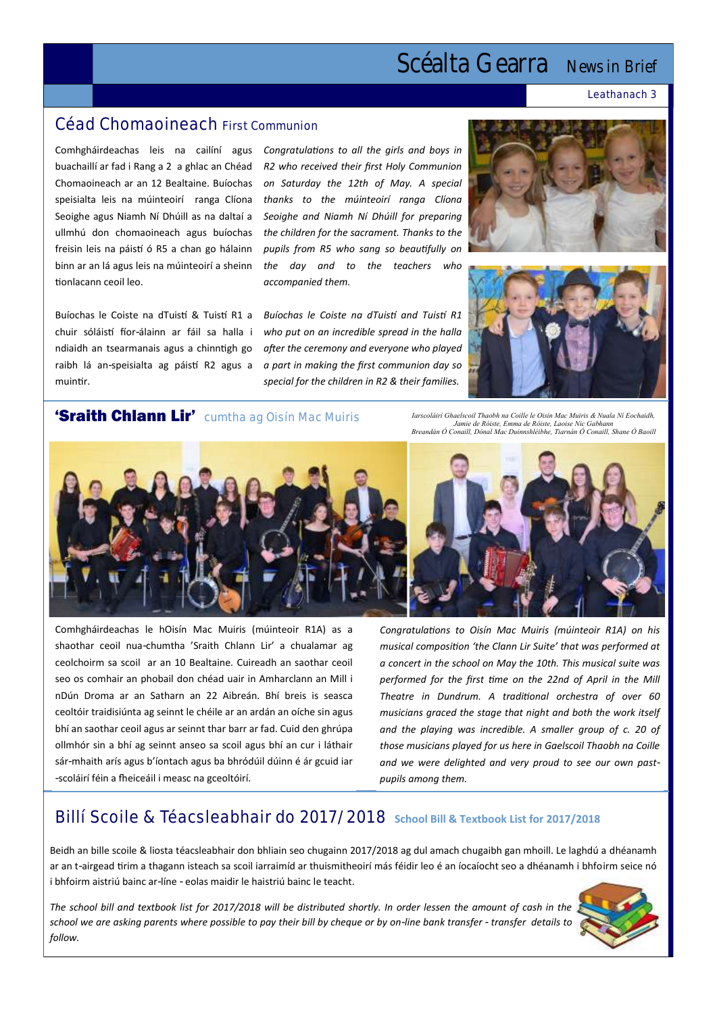# Scéalta Gearra News in Brief

Leathanach 3

### Céad Chomaoineach First Communion

buachaillí ar fad i Rang a 2 a ghlac an Chéad Chomaoineach ar an 12 Bealtaine. Buíochas speisialta leis na múinteoirí ranga Clíona *thanks to the múinteoirí ranga Clíona*  Seoighe agus Niamh Ní Dhúill as na daltaí a ullmhú don chomaoineach agus buíochas freisin leis na páistí ó R5 a chan go hálainn binn ar an lá agus leis na múinteoirí a sheinn tionlacann ceoil leo.

Buíochas le Coiste na dTuistí & Tuistí R1 a chuir sóláistí fíor-álainn ar fáil sa halla i ndiaidh an tsearmanais agus a chinntigh go raibh lá an-speisialta ag páistí R2 agus a muintir.

Comhgháirdeachas leis na cailíní agus *Congratulations to all the girls and boys in R2 who received their first Holy Communion on Saturday the 12th of May. A special Seoighe and Niamh Ní Dhúill for preparing the children for the sacrament. Thanks to the pupils from R5 who sang so beautifully on the day and to the teachers who accompanied them.*

> *Buíochas le Coiste na dTuistí and Tuistí R1 who put on an incredible spread in the halla after the ceremony and everyone who played a part in making the first communion day so special for the children in R2 & their families.*





### 'Sraith Chlann Lir' cumtha ag Oisín Mac Muiris

*Iarscoláirí Ghaelscoil Thaobh na Coille le Oisín Mac Muiris & Nuala Ní Eochaidh, Jamie de Róiste, Emma de Róiste, Laoise Nic Gabhann Breandán Ó Conaill, Dónal Mac Duinnshléibhe, Tiarnán Ó Conaill, Shane Ó Baoill*



Comhgháirdeachas le hOisín Mac Muiris (múinteoir R1A) as a shaothar ceoil nua-chumtha 'Sraith Chlann Lir' a chualamar ag ceolchoirm sa scoil ar an 10 Bealtaine. Cuireadh an saothar ceoil seo os comhair an phobail don chéad uair in Amharclann an Mill i nDún Droma ar an Satharn an 22 Aibreán. Bhí breis is seasca ceoltóir traidisiúnta ag seinnt le chéile ar an ardán an oíche sin agus bhí an saothar ceoil agus ar seinnt thar barr ar fad. Cuid den ghrúpa ollmhór sin a bhí ag seinnt anseo sa scoil agus bhí an cur i láthair sár-mhaith arís agus b'íontach agus ba bhródúil dúinn é ár gcuid iar -scoláirí féin a fheiceáil i measc na gceoltóirí.



*Congratulations to Oisín Mac Muiris (múinteoir R1A) on his musical composition 'the Clann Lir Suite' that was performed at a concert in the school on May the 10th. This musical suite was performed for the first time on the 22nd of April in the Mill Theatre in Dundrum. A traditional orchestra of over 60 musicians graced the stage that night and both the work itself and the playing was incredible. A smaller group of c. 20 of those musicians played for us here in Gaelscoil Thaobh na Coille and we were delighted and very proud to see our own pastpupils among them.* 

# Billí Scoile & Téacsleabhair do 2017/2018 **School Bill & Textbook List for 2017/2018**

Beidh an bille scoile & liosta téacsleabhair don bhliain seo chugainn 2017/2018 ag dul amach chugaibh gan mhoill. Le laghdú a dhéanamh ar an t-airgead tirim a thagann isteach sa scoil iarraimíd ar thuismitheoirí más féidir leo é an íocaíocht seo a dhéanamh i bhfoirm seice nó i bhfoirm aistriú bainc ar-líne - eolas maidir le haistriú bainc le teacht.

*The school bill and textbook list for 2017/2018 will be distributed shortly. In order lessen the amount of cash in the school we are asking parents where possible to pay their bill by cheque or by on-line bank transfer - transfer details to follow.*